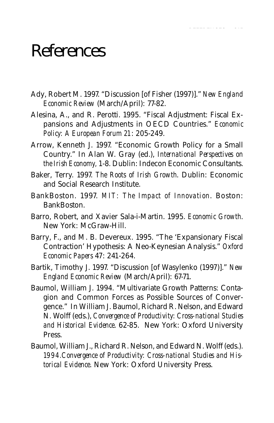## References

Ady, Robert M. 1997. "Discussion [of Fisher (1997)]." *New England Economic Review* (March/April): 77-82.

REFERENCES 215

- Alesina, A., and R. Perotti. 1995. "Fiscal Adjustment: Fiscal Expansions and Adjustments in OECD Countries." *Economic Policy: A European Forum 21*: 205-249.
- Arrow, Kenneth J. 1997. "Economic Growth Policy for a Small Country." In Alan W. Gray (ed.), *International Perspectives on the Irish Economy,* 1-8. Dublin: Indecon Economic Consultants.
- Baker, Terry. 1997. *The Roots of Irish Growth*. Dublin: Economic and Social Research Institute.
- BankBoston. 1997. *MIT: The Impact of Innovation*. Boston: BankBoston.
- Barro, Robert, and Xavier Sala-i-Martin. 1995. *Economic Growth*. New York: McGraw-Hill.
- Barry, F., and M. B. Devereux. 1995. "The 'Expansionary Fiscal Contraction' Hypothesis: A Neo-Keynesian Analysis." *Oxford Economic Papers* 47: 241-264.
- Bartik, Timothy J. 1997. "Discussion [of Wasylenko (1997)]." *New England Economic Review* (March/April): 67-71.
- Baumol, William J. 1994. "Multivariate Growth Patterns: Contagion and Common Forces as Possible Sources of Convergence." In William J. Baumol, Richard R. Nelson, and Edward N. Wolff (eds.), *Convergence of Productivity: Cross-national Studies and Historical Evidence*. 62-85. New York: Oxford University Press.
- Baumol, William J., Richard R. Nelson, and Edward N. Wolff (eds.). *1994.Convergence of Productivity: Cross-national Studies and Historical Evidence*. New York: Oxford University Press.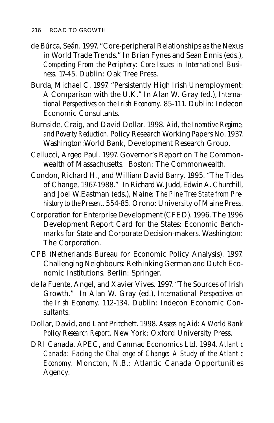- de Búrca, Seán. 1997. "Core-peripheral Relationships as the Nexus in World Trade Trends." In Brian Fynes and Sean Ennis (eds.), *Competing From the Periphery: Core Issues in International Business*. 17-45. Dublin: Oak Tree Press.
- Burda, Michael C. 1997. "Persistently High Irish Unemployment: A Comparison with the U.K." In Alan W. Gray (ed.), *International Perspectives on the Irish Economy*. 85-111. Dublin: Indecon Economic Consultants.
- Burnside, Craig, and David Dollar. 1998. *Aid, the Incentive Regime, and Poverty Reduction*. Policy Research Working Papers No. 1937. Washington:World Bank, Development Research Group.
- Cellucci, Argeo Paul. 1997. Governor's Report on The Commonwealth of Massachusetts. Boston: The Commonwealth.
- Condon, Richard H., and William David Barry. 1995. "The Tides of Change, 1967-1988." In Richard W. Judd, Edwin A. Churchill, and Joel W.Eastman (eds.), *Maine: The Pine Tree State from Prehistory to the Present*. 554-85. Orono: University of Maine Press.
- Corporation for Enterprise Development (CFED). 1996. The 1996 Development Report Card for the States: Economic Benchmarks for State and Corporate Decision-makers. Washington: The Corporation.
- CPB (Netherlands Bureau for Economic Policy Analysis). 1997. Challenging Neighbours: Rethinking German and Dutch Economic Institutions. Berlin: Springer.
- de la Fuente, Angel, and Xavier Vives. 1997. "The Sources of Irish Growth." In Alan W. Gray (ed.), *International Perspectives on the Irish Economy*. 112-134. Dublin: Indecon Economic Consultants.
- Dollar, David, and Lant Pritchett. 1998. *Assessing Aid: A World Bank Policy Research Report*. New York: Oxford University Press.
- DRI Canada, APEC, and Canmac Economics Ltd. 1994. *Atlantic Canada: Facing the Challenge of Change: A Study of the Atlantic Economy*. Moncton, N.B.: Atlantic Canada Opportunities Agency.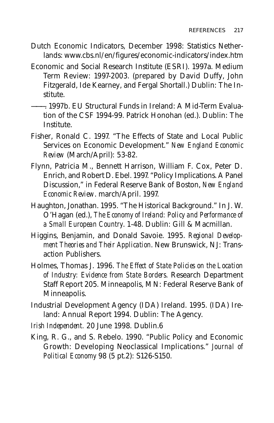- Dutch Economic Indicators, December 1998: Statistics Netherlands: www.cbs.nl/en/figures/economic-indicators/index.htm
- Economic and Social Research Institute (ESRI). 1997a. Medium Term Review: 1997-2003. (prepared by David Duffy, John Fitzgerald, Ide Kearney, and Fergal Shortall.) Dublin: The Institute.
- ———. 1997b. EU Structural Funds in Ireland: A Mid-Term Evaluation of the CSF 1994-99. Patrick Honohan (ed.). Dublin: The Institute.
- Fisher, Ronald C. 1997. "The Effects of State and Local Public Services on Economic Development." *New England Economic Review* (March/April): 53-82.
- Flynn, Patricia M., Bennett Harrison, William F. Cox, Peter D. Enrich, and Robert D. Ebel. 1997. "Policy Implications. A Panel Discussion," in Federal Reserve Bank of Boston, *New England Economic Review*. march/April. 1997.
- Haughton, Jonathan. 1995. "The Historical Background." In J. W. O'Hagan (ed.), *The Economy of Ireland: Policy and Performance of a Small European Country*. 1-48. Dublin: Gill & Macmillan.
- Higgins, Benjamin, and Donald Savoie. 1995. *Regional Development Theories and Their Application*. New Brunswick, NJ: Transaction Publishers.
- Holmes, Thomas J. 1996. *The Effect of State Policies on the Location of Industry: Evidence from State Borders*. Research Department Staff Report 205. Minneapolis, MN: Federal Reserve Bank of Minneapolis.
- Industrial Development Agency (IDA) Ireland. 1995. (IDA) Ireland: Annual Report 1994. Dublin: The Agency.
- *Irish Independent.* 20 June 1998. Dublin.6
- King, R. G., and S. Rebelo. 1990. "Public Policy and Economic Growth: Developing Neoclassical Implications." *Journal of Political Economy* 98 (5 pt.2): S126-S150.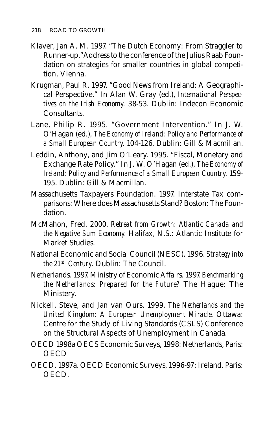- Klaver, Jan A. M. 1997. "The Dutch Economy: From Straggler to Runner-up."Address to the conference of the Julius Raab Foundation on strategies for smaller countries in global competition, Vienna.
- Krugman, Paul R. 1997. "Good News from Ireland: A Geographical Perspective." In Alan W. Gray (ed.), *International Perspectives on the Irish Economy.* 38-53. Dublin: Indecon Economic Consultants.
- Lane, Philip R. 1995. "Government Intervention." In J. W. O'Hagan (ed.), *The Economy of Ireland: Policy and Performance of a Small European Country.* 104-126. Dublin: Gill & Macmillan.
- Leddin, Anthony, and Jim O'Leary. 1995. "Fiscal, Monetary and Exchange Rate Policy." In J. W. O'Hagan (ed.), *The Economy of Ireland: Policy and Performance of a Small European Country.* 159- 195. Dublin: Gill & Macmillan.
- Massachusetts Taxpayers Foundation. 1997. Interstate Tax comparisons: Where does Massachusetts Stand? Boston: The Foundation.
- McMahon, Fred. 2000. *Retreat from Growth: Atlantic Canada and the Negative Sum Economy.* Halifax, N.S.: Atlantic Institute for Market Studies.
- National Economic and Social Council (NESC). 1996. *Strategy into the 21st Century*. Dublin: The Council.
- Netherlands. 1997. Ministry of Economic Affairs. 1997. *Benchmarking the Netherlands: Prepared for the Future?* The Hague: The Ministery.
- Nickell, Steve, and Jan van Ours. 1999. *The Netherlands and the United Kingdom: A European Unemployment Miracle*. Ottawa: Centre for the Study of Living Standards (CSLS) Conference on the Structural Aspects of Unemployment in Canada.
- OECD 1998a OECS Economic Surveys, 1998: Netherlands, Paris: **OECD**
- OECD. 1997a. OECD Economic Surveys, 1996-97: Ireland. Paris: OECD.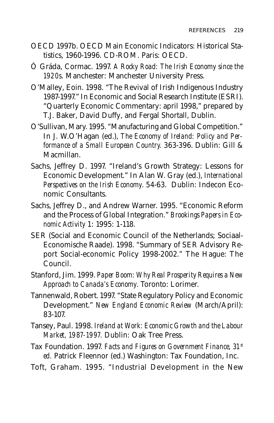- OECD 1997b. OECD Main Economic Indicators: Historical Statistics, 1960-1996. CD-ROM. Paris: OECD.
- Ó Gráda, Cormac. 1997. *A Rocky Road: The Irish Economy since the 1920s*. Manchester: Manchester University Press.
- O'Malley, Eoin. 1998. "The Revival of Irish Indigenous Industry 1987-1997." In Economic and Social Research Institute (ESRI). "Quarterly Economic Commentary: april 1998," prepared by T.J. Baker, David Duffy, and Fergal Shortall, Dublin.
- O'Sullivan, Mary. 1995. "Manufacturing and Global Competition." In J. W.O'Hagan (ed.), *The Economy of Ireland: Policy and Performance of a Small European Country.* 363-396. Dublin: Gill & Macmillan.
- Sachs, Jeffrey D. 1997. "Ireland's Growth Strategy: Lessons for Economic Development." In Alan W. Gray (ed.), *International Perspectives on the Irish Economy*. 54-63. Dublin: Indecon Economic Consultants.
- Sachs, Jeffrey D., and Andrew Warner. 1995. "Economic Reform and the Process of Global Integration." *Brookings Papers in Economic Activity* 1: 1995: 1-118.
- SER (Social and Economic Council of the Netherlands; Sociaal-Economische Raade). 1998. "Summary of SER Advisory Report Social-economic Policy 1998-2002." The Hague: The Council.
- Stanford, Jim. 1999. *Paper Boom: Why Real Prosperity Requires a New Approach to Canada's Economy*. Toronto: Lorimer.
- Tannenwald, Robert. 1997. "State Regulatory Policy and Economic Development." *New England Economic Review* (March/April): 83-107.
- Tansey, Paul. 1998. *Ireland at Work: Economic Growth and the Labour Market, 1987-1997.* Dublin: Oak Tree Press.
- Tax Foundation. 1997. *Facts and Figures on Government Finance, 31st ed.* Patrick Fleennor (ed.) Washington: Tax Foundation, Inc.
- Toft, Graham. 1995. "Industrial Development in the New